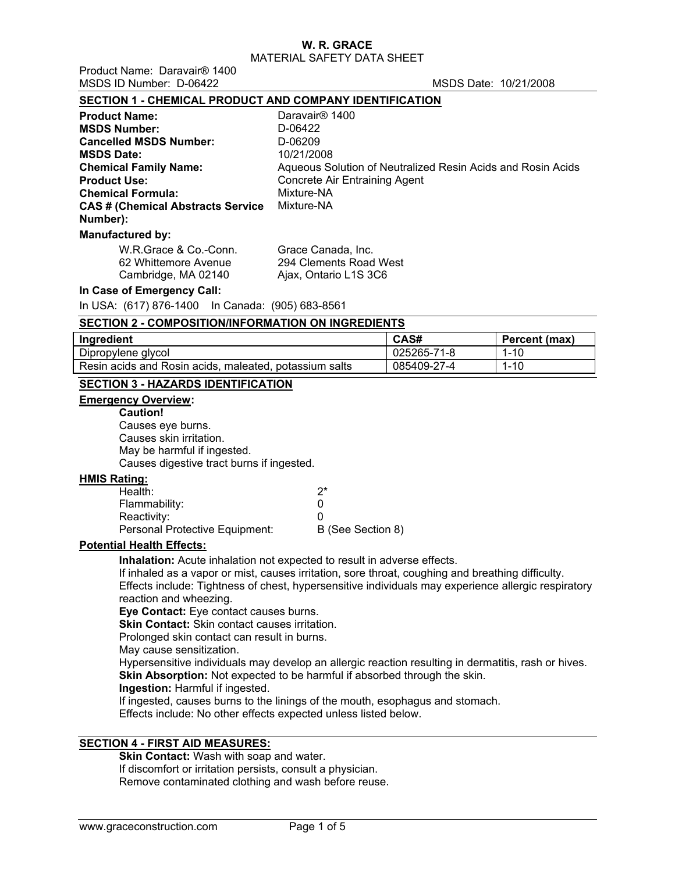Product Name: Daravair® 1400 MSDS ID Number: D-06422 MSDS Date: 10/21/2008

## **SECTION 1 - CHEMICAL PRODUCT AND COMPANY IDENTIFICATION**

| <b>Product Name:</b>                      | Daravair <sup>®</sup> 1400                                  |
|-------------------------------------------|-------------------------------------------------------------|
| <b>MSDS Number:</b>                       | D-06422                                                     |
| <b>Cancelled MSDS Number:</b>             | D-06209                                                     |
| <b>MSDS Date:</b>                         | 10/21/2008                                                  |
| <b>Chemical Family Name:</b>              | Aqueous Solution of Neutralized Resin Acids and Rosin Acids |
| <b>Product Use:</b>                       | <b>Concrete Air Entraining Agent</b>                        |
| <b>Chemical Formula:</b>                  | Mixture-NA                                                  |
| <b>CAS # (Chemical Abstracts Service)</b> | Mixture-NA                                                  |
| Number):                                  |                                                             |
| <b>Manufactured by:</b>                   |                                                             |

| W.R.Grace & Co.-Conn. | Grace Canada, Inc.     |
|-----------------------|------------------------|
| 62 Whittemore Avenue  | 294 Clements Road West |
| Cambridge, MA 02140   | Ajax, Ontario L1S 3C6  |

## **In Case of Emergency Call:**

In USA: (617) 876-1400 In Canada: (905) 683-8561

| <b>SECTION 2 - COMPOSITION/INFORMATION ON INGREDIENTS</b> |             |               |  |  |  |  |
|-----------------------------------------------------------|-------------|---------------|--|--|--|--|
| Ingredient                                                | CAS#        | Percent (max) |  |  |  |  |
| Dipropylene glycol                                        | 025265-71-8 | $1 - 10$      |  |  |  |  |
| Resin acids and Rosin acids, maleated, potassium salts    | 085409-27-4 | $1 - 10$      |  |  |  |  |

## **SECTION 3 - HAZARDS IDENTIFICATION**

# **Emergency Overview:**

## **Caution!**

Causes eye burns. Causes skin irritation. May be harmful if ingested. Causes digestive tract burns if ingested.

## **HMIS Rating:**

| Health:                        | ク*                |
|--------------------------------|-------------------|
| Flammability:                  |                   |
| Reactivity:                    |                   |
| Personal Protective Equipment: | B (See Section 8) |

# **Potential Health Effects:**

**Inhalation:** Acute inhalation not expected to result in adverse effects. If inhaled as a vapor or mist, causes irritation, sore throat, coughing and breathing difficulty. Effects include: Tightness of chest, hypersensitive individuals may experience allergic respiratory reaction and wheezing.

**Eye Contact:** Eye contact causes burns.

**Skin Contact:** Skin contact causes irritation.

Prolonged skin contact can result in burns.

May cause sensitization.

Hypersensitive individuals may develop an allergic reaction resulting in dermatitis, rash or hives. **Skin Absorption:** Not expected to be harmful if absorbed through the skin.

**Ingestion:** Harmful if ingested.

If ingested, causes burns to the linings of the mouth, esophagus and stomach.

Effects include: No other effects expected unless listed below.

## **SECTION 4 - FIRST AID MEASURES:**

**Skin Contact:** Wash with soap and water. If discomfort or irritation persists, consult a physician. Remove contaminated clothing and wash before reuse.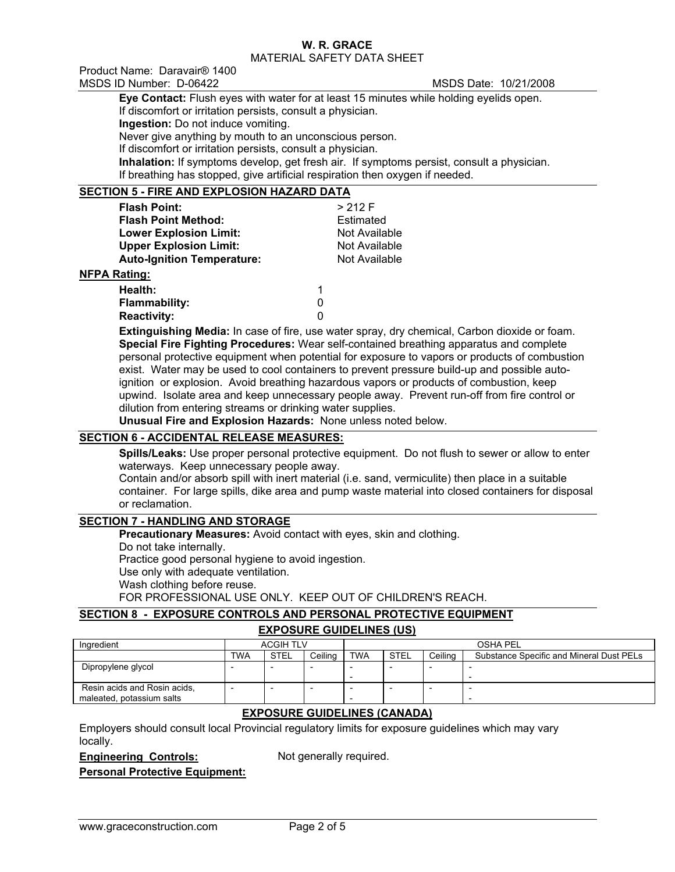Product Name: Daravair® 1400 MSDS ID Number: D-06422 MSDS Date: 10/21/2008

**Eye Contact:** Flush eyes with water for at least 15 minutes while holding eyelids open. If discomfort or irritation persists, consult a physician. **Ingestion:** Do not induce vomiting. Never give anything by mouth to an unconscious person. If discomfort or irritation persists, consult a physician. **Inhalation:** If symptoms develop, get fresh air. If symptoms persist, consult a physician. If breathing has stopped, give artificial respiration then oxygen if needed.

## **SECTION 5 - FIRE AND EXPLOSION HAZARD DATA**

| <b>Flash Point:</b>                                         |   | > 212 F       |
|-------------------------------------------------------------|---|---------------|
| <b>Flash Point Method:</b>                                  |   | Estimated     |
| <b>Lower Explosion Limit:</b>                               |   | Not Available |
| <b>Upper Explosion Limit:</b>                               |   | Not Available |
| <b>Auto-Ignition Temperature:</b>                           |   | Not Available |
| <b>NFPA Rating:</b>                                         |   |               |
| Health:                                                     | 1 |               |
| <b>Flammability:</b>                                        | 0 |               |
| <b>Reactivity:</b>                                          | 0 |               |
| $EY$ iinauiohina Modiou la coso offico uso wotor sprovi dru |   |               |

**Extinguishing Media:** In case of fire, use water spray, dry chemical, Carbon dioxide or foam. **Special Fire Fighting Procedures:** Wear self-contained breathing apparatus and complete personal protective equipment when potential for exposure to vapors or products of combustion exist. Water may be used to cool containers to prevent pressure build-up and possible autoignition or explosion. Avoid breathing hazardous vapors or products of combustion, keep upwind. Isolate area and keep unnecessary people away. Prevent run-off from fire control or dilution from entering streams or drinking water supplies.

**Unusual Fire and Explosion Hazards:** None unless noted below.

## **SECTION 6 - ACCIDENTAL RELEASE MEASURES:**

**Spills/Leaks:** Use proper personal protective equipment. Do not flush to sewer or allow to enter waterways. Keep unnecessary people away.

Contain and/or absorb spill with inert material (i.e. sand, vermiculite) then place in a suitable container. For large spills, dike area and pump waste material into closed containers for disposal or reclamation.

## **SECTION 7 - HANDLING AND STORAGE**

**Precautionary Measures: Avoid contact with eyes, skin and clothing.** 

Do not take internally.

Practice good personal hygiene to avoid ingestion.

Use only with adequate ventilation.

Wash clothing before reuse.

FOR PROFESSIONAL USE ONLY. KEEP OUT OF CHILDREN'S REACH.

# **SECTION 8 - EXPOSURE CONTROLS AND PERSONAL PROTECTIVE EQUIPMENT**

## **EXPOSURE GUIDELINES (US)**

| Ingredient                                                |     | <b>ACGIH TLV</b> |         | <b>OSHA PEL</b> |             |         |                                          |
|-----------------------------------------------------------|-----|------------------|---------|-----------------|-------------|---------|------------------------------------------|
|                                                           | TWA | <b>STEL</b>      | Ceilina | <b>TWA</b>      | <b>STEL</b> | Ceilina | Substance Specific and Mineral Dust PELs |
| Dipropylene glycol                                        |     |                  |         |                 |             |         |                                          |
| Resin acids and Rosin acids,<br>maleated, potassium salts |     |                  |         |                 |             |         |                                          |

## **EXPOSURE GUIDELINES (CANADA)**

Employers should consult local Provincial regulatory limits for exposure guidelines which may vary locally.

## **Engineering Controls:** Not generally required.

**Personal Protective Equipment:**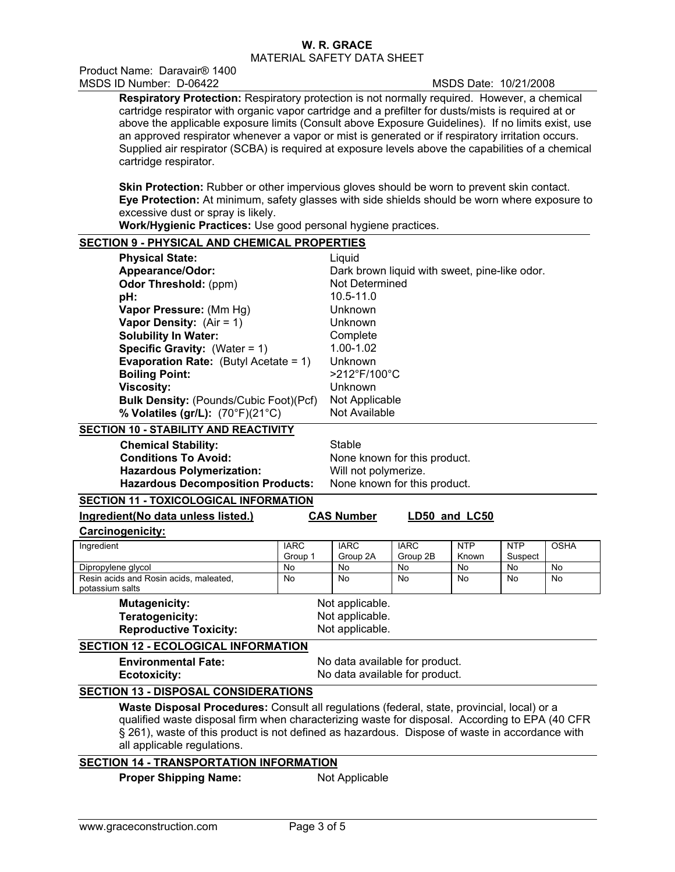Product Name: Daravair® 1400 MSDS ID Number: D-06422 MSDS Date: 10/21/2008

**Respiratory Protection:** Respiratory protection is not normally required. However, a chemical cartridge respirator with organic vapor cartridge and a prefilter for dusts/mists is required at or above the applicable exposure limits (Consult above Exposure Guidelines). If no limits exist, use an approved respirator whenever a vapor or mist is generated or if respiratory irritation occurs. Supplied air respirator (SCBA) is required at exposure levels above the capabilities of a chemical cartridge respirator.

**Skin Protection:** Rubber or other impervious gloves should be worn to prevent skin contact. **Eye Protection:** At minimum, safety glasses with side shields should be worn where exposure to excessive dust or spray is likely.

**Work/Hygienic Practices:** Use good personal hygiene practices.

# **SECTION 9 - PHYSICAL AND CHEMICAL PROPERTIES**

| <b>Physical State:</b>                          | Liquid                                        |
|-------------------------------------------------|-----------------------------------------------|
| Appearance/Odor:                                | Dark brown liquid with sweet, pine-like odor. |
| <b>Odor Threshold: (ppm)</b>                    | Not Determined                                |
| pH:                                             | $10.5 - 11.0$                                 |
| Vapor Pressure: (Mm Hg)                         | Unknown                                       |
| <b>Vapor Density:</b> $(Air = 1)$               | Unknown                                       |
| <b>Solubility In Water:</b>                     | Complete                                      |
| <b>Specific Gravity:</b> (Water = $1$ )         | 1.00-1.02                                     |
| <b>Evaporation Rate:</b> (Butyl Acetate = $1$ ) | Unknown                                       |
| <b>Boiling Point:</b>                           | >212°F/100°C                                  |
| <b>Viscosity:</b>                               | Unknown                                       |
| <b>Bulk Density: (Pounds/Cubic Foot)(Pcf)</b>   | Not Applicable                                |
| % Volatiles (gr/L): (70°F)(21°C)                | Not Available                                 |

## **SECTION 10 - STABILITY AND REACTIVITY**

**Chemical Stability:** Stable **Conditions To Avoid:** None known for this product. **Hazardous Polymerization:** Will not polymerize. **Hazardous Decomposition Products:** None known for this product.

## **SECTION 11 - TOXICOLOGICAL INFORMATION**

| Ingredient(No data unless listed.)                                                                                                                                                                                                                                                                                             | <b>CAS Number</b>              |                 | LD50 and LC50 |            |            |             |  |
|--------------------------------------------------------------------------------------------------------------------------------------------------------------------------------------------------------------------------------------------------------------------------------------------------------------------------------|--------------------------------|-----------------|---------------|------------|------------|-------------|--|
| <b>Carcinogenicity:</b>                                                                                                                                                                                                                                                                                                        |                                |                 |               |            |            |             |  |
| Ingredient                                                                                                                                                                                                                                                                                                                     | <b>IARC</b>                    | <b>IARC</b>     | <b>IARC</b>   | <b>NTP</b> | <b>NTP</b> | <b>OSHA</b> |  |
|                                                                                                                                                                                                                                                                                                                                | Group 1                        | Group 2A        | Group 2B      | Known      | Suspect    |             |  |
| Dipropylene glycol                                                                                                                                                                                                                                                                                                             | No                             | <b>No</b>       | No            | <b>No</b>  | <b>No</b>  | No          |  |
| Resin acids and Rosin acids, maleated,<br>potassium salts                                                                                                                                                                                                                                                                      | No.                            | No              | No            | <b>No</b>  | <b>No</b>  | No          |  |
| <b>Mutagenicity:</b>                                                                                                                                                                                                                                                                                                           |                                | Not applicable. |               |            |            |             |  |
| Teratogenicity:                                                                                                                                                                                                                                                                                                                | Not applicable.                |                 |               |            |            |             |  |
| <b>Reproductive Toxicity:</b>                                                                                                                                                                                                                                                                                                  | Not applicable.                |                 |               |            |            |             |  |
| <b>SECTION 12 - ECOLOGICAL INFORMATION</b>                                                                                                                                                                                                                                                                                     |                                |                 |               |            |            |             |  |
| <b>Environmental Fate:</b><br>No data available for product.                                                                                                                                                                                                                                                                   |                                |                 |               |            |            |             |  |
| Ecotoxicity:                                                                                                                                                                                                                                                                                                                   | No data available for product. |                 |               |            |            |             |  |
| <b>SECTION 13 - DISPOSAL CONSIDERATIONS</b>                                                                                                                                                                                                                                                                                    |                                |                 |               |            |            |             |  |
| Waste Disposal Procedures: Consult all regulations (federal, state, provincial, local) or a<br>qualified waste disposal firm when characterizing waste for disposal. According to EPA (40 CFR<br>§ 261), waste of this product is not defined as hazardous. Dispose of waste in accordance with<br>all applicable regulations. |                                |                 |               |            |            |             |  |

## **SECTION 14 - TRANSPORTATION INFORMATION**

**Proper Shipping Name:** Not Applicable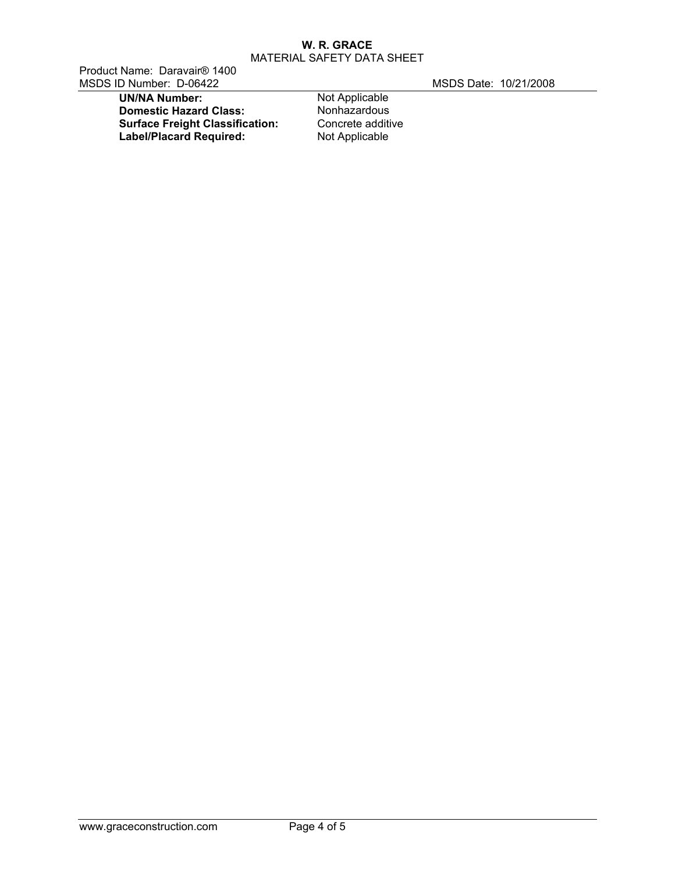Product Name: Daravair® 1400 MSDS ID Number: D-06422 MSDS Date: 10/21/2008

**UN/NA Number:** Not Applicable<br> **Domestic Hazard Class:** Nonhazardous **Domestic Hazard Class: Nonhazardous**<br> **Surface Freight Classification:** Concrete additive **Surface Freight Classification:** Concrete additi<br> **Label/Placard Required:** Not Applicable **Label/Placard Required:**